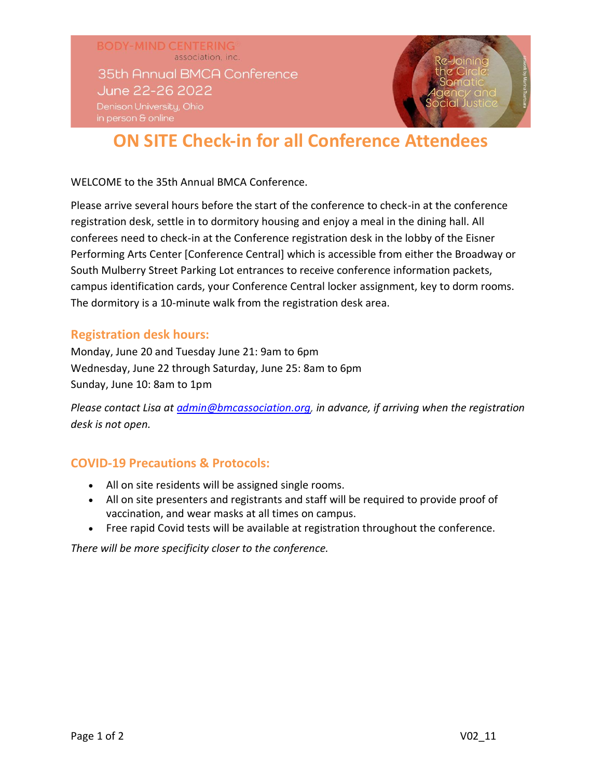**BODY-MIND CENTERING** association, inc. 35th Annual BMCA Conference June 22-26 2022 Denison University, Ohio

# **ON SITE Check-in for all Conference Attendees**

WELCOME to the 35th Annual BMCA Conference.

Please arrive several hours before the start of the conference to check-in at the conference registration desk, settle in to dormitory housing and enjoy a meal in the dining hall. All conferees need to check-in at the Conference registration desk in the lobby of the Eisner Performing Arts Center [Conference Central] which is accessible from either the Broadway or South Mulberry Street Parking Lot entrances to receive conference information packets, campus identification cards, your Conference Central locker assignment, key to dorm rooms. The dormitory is a 10-minute walk from the registration desk area.

### **Registration desk hours:**

Monday, June 20 and Tuesday June 21: 9am to 6pm Wednesday, June 22 through Saturday, June 25: 8am to 6pm Sunday, June 10: 8am to 1pm

*Please contact Lisa at [admin@bmcassociation.org,](mailto:admin@bmcassociation.org?subject=I) in advance, if arriving when the registration desk is not open.*

## **COVID-19 Precautions & Protocols:**

- All on site residents will be assigned single rooms.
- All on site presenters and registrants and staff will be required to provide proof of vaccination, and wear masks at all times on campus.
- Free rapid Covid tests will be available at registration throughout the conference.

*There will be more specificity closer to the conference.*